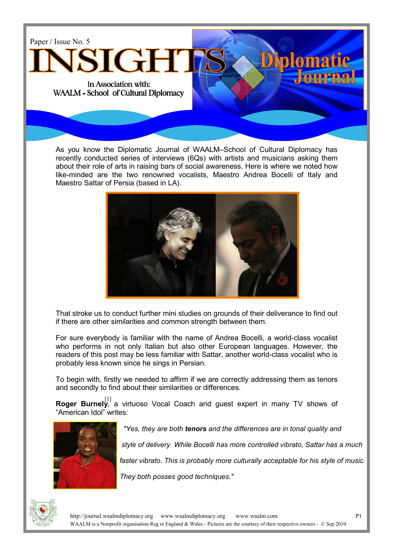

As you know the Diplomatic Journal of WAALM–School of Cultural Diplomacy has recently conducted series of interviews (6Qs) with artists and musicians asking them about their role of arts in raising bars of social awareness. Here is where we noted how like-minded are the two renowned vocalists, Maestro Andrea Bocelli of Italy and Maestro Sattar of Persia (based in LA).



That stroke us to conduct further mini studies on grounds of their deliverance to find out if there are other similarities and common strength between them.

For sure everybody is familiar with the name of Andrea Bocelli, a world-class vocalist who performs in not only Italian but also other European languages. However, the readers of this post may be less familiar with Sattar, another world-class vocalist who is probably less known since he sings in Persian.

To begin with, firstly we needed to affirm if we are correctly addressing them as tenors and secondly to find about their similarities or differences.

**Roger Burnely**, a virtuoso Vocal Coach and guest expert in many TV shows of "American Idol" writes:



"Yes, they are both tenors and the differences are in tonal quality and

style of delivery. While Bocelli has more controlled vibrato, Sattar has a much

faster vibrato. This is probably more culturally acceptable for his style of music.

They both posses good techniques."

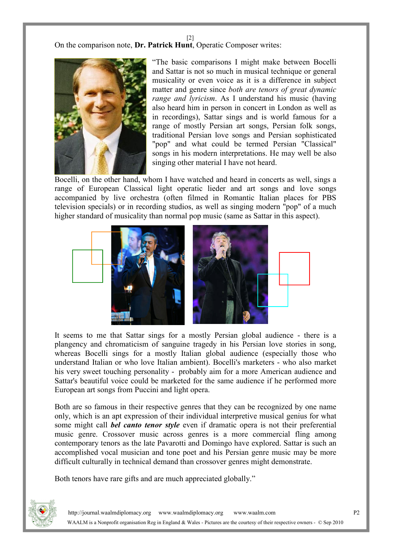[2]

On the comparison note, Dr. Patrick Hunt, Operatic Composer writes:



"The basic comparisons I might make between Bocelli and Sattar is not so much in musical technique or general musicality or even voice as it is a difference in subject matter and genre since both are tenors of great dynamic range and lyricism. As I understand his music (having also heard him in person in concert in London as well as in recordings), Sattar sings and is world famous for a range of mostly Persian art songs, Persian folk songs, traditional Persian love songs and Persian sophisticated "pop" and what could be termed Persian "Classical" songs in his modern interpretations. He may well be also singing other material I have not heard.

Bocelli, on the other hand, whom I have watched and heard in concerts as well, sings a range of European Classical light operatic lieder and art songs and love songs accompanied by live orchestra (often filmed in Romantic Italian places for PBS television specials) or in recording studios, as well as singing modern "pop" of a much higher standard of musicality than normal pop music (same as Sattar in this aspect).



It seems to me that Sattar sings for a mostly Persian global audience - there is a plangency and chromaticism of sanguine tragedy in his Persian love stories in song, whereas Bocelli sings for a mostly Italian global audience (especially those who understand Italian or who love Italian ambient). Bocelli's marketers - who also market his very sweet touching personality - probably aim for a more American audience and Sattar's beautiful voice could be marketed for the same audience if he performed more European art songs from Puccini and light opera.

Both are so famous in their respective genres that they can be recognized by one name only, which is an apt expression of their individual interpretive musical genius for what some might call *bel canto tenor style* even if dramatic opera is not their preferential music genre. Crossover music across genres is a more commercial fling among contemporary tenors as the late Pavarotti and Domingo have explored. Sattar is such an accomplished vocal musician and tone poet and his Persian genre music may be more difficult culturally in technical demand than crossover genres might demonstrate.

Both tenors have rare gifts and are much appreciated globally."

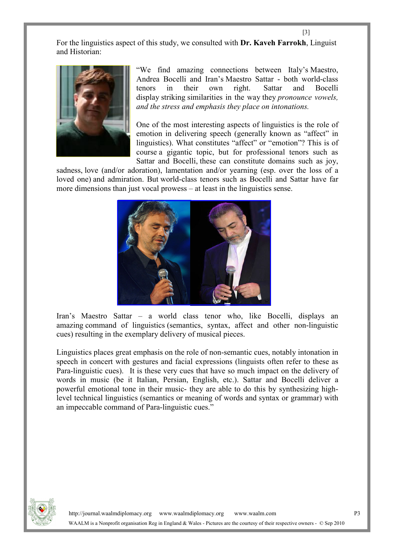For the linguistics aspect of this study, we consulted with **Dr. Kaveh Farrokh**, Linguist and Historian:



"We find amazing connections between Italy's Maestro, Andrea Bocelli and Iran's Maestro Sattar - both world-class tenors in their own right. Sattar and Bocelli display striking similarities in the way they *pronounce vowels*, and the stress and emphasis they place on intonations.

One of the most interesting aspects of linguistics is the role of emotion in delivering speech (generally known as "affect" in linguistics). What constitutes "affect" or "emotion"? This is of course a gigantic topic, but for professional tenors such as Sattar and Bocelli, these can constitute domains such as joy,

sadness, love (and/or adoration), lamentation and/or yearning (esp. over the loss of a loved one) and admiration. But world-class tenors such as Bocelli and Sattar have far more dimensions than just vocal prowess – at least in the linguistics sense.



Iran's Maestro Sattar – a world class tenor who, like Bocelli, displays an amazing command of linguistics (semantics, syntax, affect and other non-linguistic cues) resulting in the exemplary delivery of musical pieces.

Linguistics places great emphasis on the role of non-semantic cues, notably intonation in speech in concert with gestures and facial expressions (linguists often refer to these as Para-linguistic cues). It is these very cues that have so much impact on the delivery of words in music (be it Italian, Persian, English, etc.). Sattar and Bocelli deliver a powerful emotional tone in their music- they are able to do this by synthesizing highlevel technical linguistics (semantics or meaning of words and syntax or grammar) with an impeccable command of Para-linguistic cues."